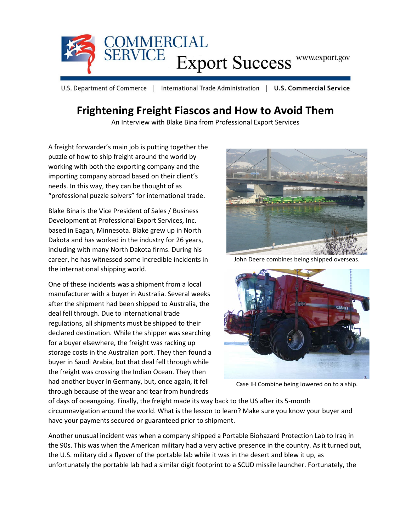

U.S. Department of Commerce | International Trade Administration | U.S. Commercial Service

## **Frightening Freight Fiascos and How to Avoid Them**

An Interview with Blake Bina from Professional Export Services

A freight forwarder's main job is putting together the puzzle of how to ship freight around the world by working with both the exporting company and the importing company abroad based on their client's needs. In this way, they can be thought of as "professional puzzle solvers" for international trade.

Blake Bina is the Vice President of Sales / Business Development at Professional Export Services, Inc. based in Eagan, Minnesota. Blake grew up in North Dakota and has worked in the industry for 26 years, including with many North Dakota firms. During his career, he has witnessed some incredible incidents in the international shipping world.

One of these incidents was a shipment from a local manufacturer with a buyer in Australia. Several weeks after the shipment had been shipped to Australia, the deal fell through. Due to international trade regulations, all shipments must be shipped to their declared destination. While the shipper was searching for a buyer elsewhere, the freight was racking up storage costs in the Australian port. They then found a buyer in Saudi Arabia, but that deal fell through while the freight was crossing the Indian Ocean. They then had another buyer in Germany, but, once again, it fell through because of the wear and tear from hundreds



John Deere combines being shipped overseas.



Case IH Combine being lowered on to a ship.

of days of oceangoing. Finally, the freight made its way back to the US after its 5-month circumnavigation around the world. What is the lesson to learn? Make sure you know your buyer and have your payments secured or guaranteed prior to shipment.

Another unusual incident was when a company shipped a Portable Biohazard Protection Lab to Iraq in the 90s. This was when the American military had a very active presence in the country. As it turned out, the U.S. military did a flyover of the portable lab while it was in the desert and blew it up, as unfortunately the portable lab had a similar digit footprint to a SCUD missile launcher. Fortunately, the